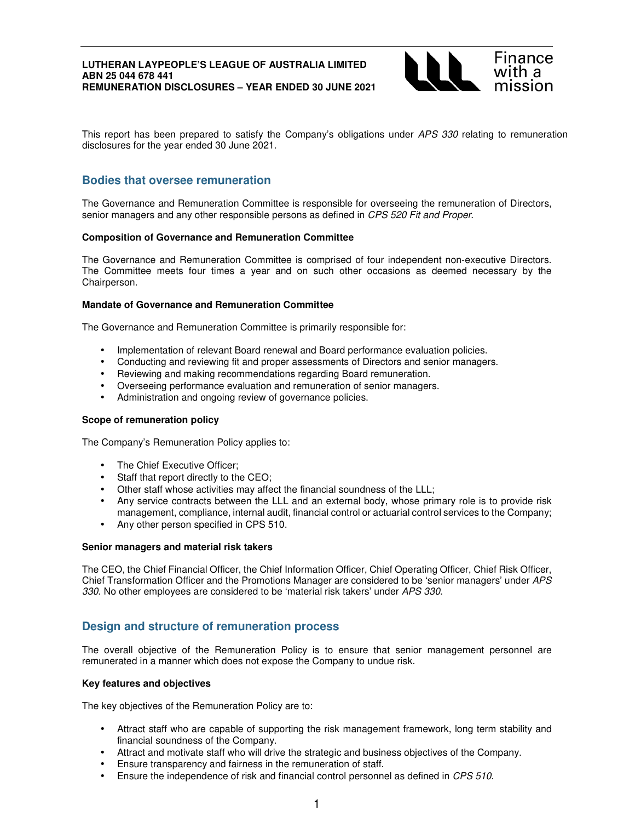

This report has been prepared to satisfy the Company's obligations under APS 330 relating to remuneration disclosures for the year ended 30 June 2021.

# **Bodies that oversee remuneration**

The Governance and Remuneration Committee is responsible for overseeing the remuneration of Directors, senior managers and any other responsible persons as defined in CPS 520 Fit and Proper.

## **Composition of Governance and Remuneration Committee**

The Governance and Remuneration Committee is comprised of four independent non-executive Directors. The Committee meets four times a year and on such other occasions as deemed necessary by the Chairperson.

## **Mandate of Governance and Remuneration Committee**

The Governance and Remuneration Committee is primarily responsible for:

- Implementation of relevant Board renewal and Board performance evaluation policies.
- Conducting and reviewing fit and proper assessments of Directors and senior managers.
- Reviewing and making recommendations regarding Board remuneration.
- Overseeing performance evaluation and remuneration of senior managers.
- Administration and ongoing review of governance policies.

### **Scope of remuneration policy**

The Company's Remuneration Policy applies to:

- The Chief Executive Officer;
- Staff that report directly to the CEO;
- Other staff whose activities may affect the financial soundness of the LLL;
- Any service contracts between the LLL and an external body, whose primary role is to provide risk management, compliance, internal audit, financial control or actuarial control services to the Company;
- Any other person specified in CPS 510.

### **Senior managers and material risk takers**

The CEO, the Chief Financial Officer, the Chief Information Officer, Chief Operating Officer, Chief Risk Officer, Chief Transformation Officer and the Promotions Manager are considered to be 'senior managers' under APS 330. No other employees are considered to be 'material risk takers' under APS 330.

# **Design and structure of remuneration process**

The overall objective of the Remuneration Policy is to ensure that senior management personnel are remunerated in a manner which does not expose the Company to undue risk.

### **Key features and objectives**

The key objectives of the Remuneration Policy are to:

- Attract staff who are capable of supporting the risk management framework, long term stability and financial soundness of the Company.
- Attract and motivate staff who will drive the strategic and business objectives of the Company.
- Ensure transparency and fairness in the remuneration of staff.
- Ensure the independence of risk and financial control personnel as defined in CPS 510.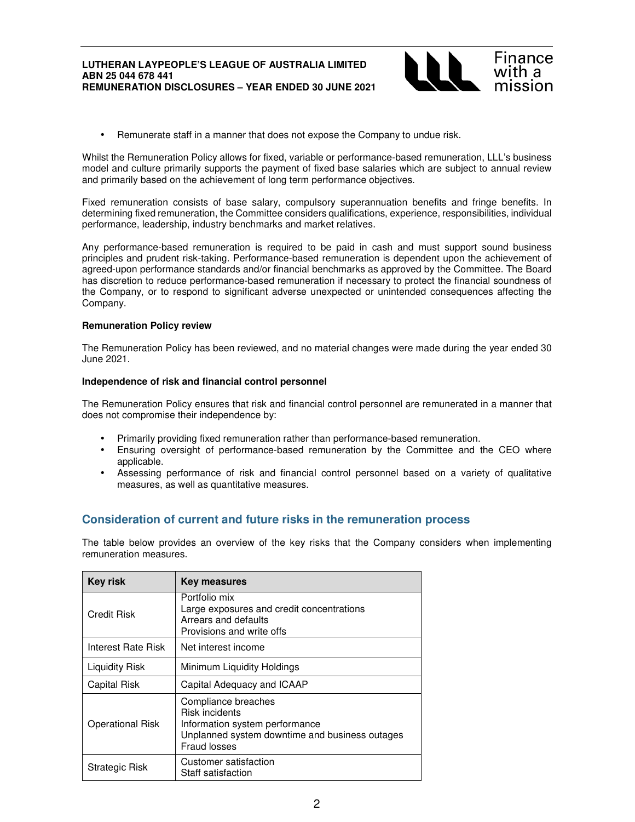

• Remunerate staff in a manner that does not expose the Company to undue risk.

Whilst the Remuneration Policy allows for fixed, variable or performance-based remuneration, LLL's business model and culture primarily supports the payment of fixed base salaries which are subject to annual review and primarily based on the achievement of long term performance objectives.

Fixed remuneration consists of base salary, compulsory superannuation benefits and fringe benefits. In determining fixed remuneration, the Committee considers qualifications, experience, responsibilities, individual performance, leadership, industry benchmarks and market relatives.

Any performance-based remuneration is required to be paid in cash and must support sound business principles and prudent risk-taking. Performance-based remuneration is dependent upon the achievement of agreed-upon performance standards and/or financial benchmarks as approved by the Committee. The Board has discretion to reduce performance-based remuneration if necessary to protect the financial soundness of the Company, or to respond to significant adverse unexpected or unintended consequences affecting the Company.

### **Remuneration Policy review**

The Remuneration Policy has been reviewed, and no material changes were made during the year ended 30 June 2021.

### **Independence of risk and financial control personnel**

The Remuneration Policy ensures that risk and financial control personnel are remunerated in a manner that does not compromise their independence by:

- Primarily providing fixed remuneration rather than performance-based remuneration.
- Ensuring oversight of performance-based remuneration by the Committee and the CEO where applicable.
- Assessing performance of risk and financial control personnel based on a variety of qualitative measures, as well as quantitative measures.

# **Consideration of current and future risks in the remuneration process**

The table below provides an overview of the key risks that the Company considers when implementing remuneration measures.

| Key risk                | Key measures                                                                                                                                     |
|-------------------------|--------------------------------------------------------------------------------------------------------------------------------------------------|
| Credit Risk             | Portfolio mix<br>Large exposures and credit concentrations<br>Arrears and defaults<br>Provisions and write offs                                  |
| Interest Rate Risk      | Net interest income                                                                                                                              |
| Liquidity Risk          | Minimum Liquidity Holdings                                                                                                                       |
| Capital Risk            | Capital Adequacy and ICAAP                                                                                                                       |
| <b>Operational Risk</b> | Compliance breaches<br><b>Risk incidents</b><br>Information system performance<br>Unplanned system downtime and business outages<br>Fraud losses |
| <b>Strategic Risk</b>   | Customer satisfaction<br>Staff satisfaction                                                                                                      |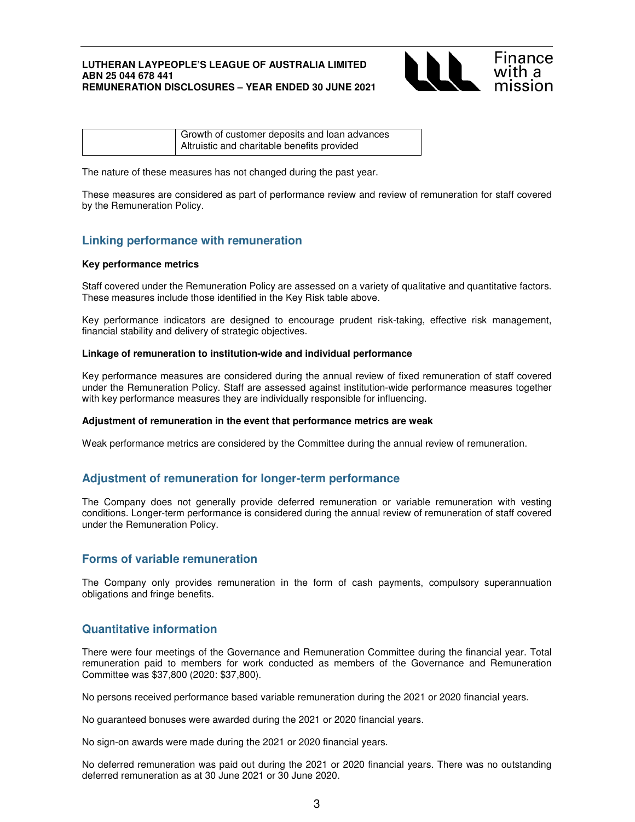

The nature of these measures has not changed during the past year.

These measures are considered as part of performance review and review of remuneration for staff covered by the Remuneration Policy.

# **Linking performance with remuneration**

### **Key performance metrics**

Staff covered under the Remuneration Policy are assessed on a variety of qualitative and quantitative factors. These measures include those identified in the Key Risk table above.

Key performance indicators are designed to encourage prudent risk-taking, effective risk management, financial stability and delivery of strategic objectives.

## **Linkage of remuneration to institution-wide and individual performance**

Key performance measures are considered during the annual review of fixed remuneration of staff covered under the Remuneration Policy. Staff are assessed against institution-wide performance measures together with key performance measures they are individually responsible for influencing.

### **Adjustment of remuneration in the event that performance metrics are weak**

Weak performance metrics are considered by the Committee during the annual review of remuneration.

# **Adjustment of remuneration for longer-term performance**

The Company does not generally provide deferred remuneration or variable remuneration with vesting conditions. Longer-term performance is considered during the annual review of remuneration of staff covered under the Remuneration Policy.

# **Forms of variable remuneration**

The Company only provides remuneration in the form of cash payments, compulsory superannuation obligations and fringe benefits.

# **Quantitative information**

There were four meetings of the Governance and Remuneration Committee during the financial year. Total remuneration paid to members for work conducted as members of the Governance and Remuneration Committee was \$37,800 (2020: \$37,800).

No persons received performance based variable remuneration during the 2021 or 2020 financial years.

No guaranteed bonuses were awarded during the 2021 or 2020 financial years.

No sign-on awards were made during the 2021 or 2020 financial years.

No deferred remuneration was paid out during the 2021 or 2020 financial years. There was no outstanding deferred remuneration as at 30 June 2021 or 30 June 2020.